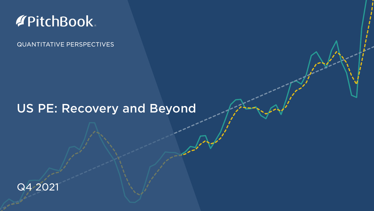## **APitchBook**

QUANTITATIVE PERSPECTIVES

## US PE: Recovery and Beyond

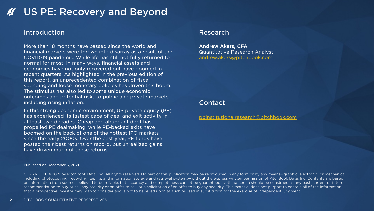## US PE: Recovery and Beyond

### Introduction

More than 18 months have passed since the world and financial markets were thrown into disarray as a result of the COVID-19 pandemic. While life has still not fully returned to normal for most, in many ways, financial assets and economies have not only recovered but have boomed in recent quarters. As highlighted in the previous edition of this report, an unprecedented combination of fiscal spending and loose monetary policies has driven this boom. The stimulus has also led to some unique economic outcomes and potential risks to public and private markets, including rising inflation.

In this strong economic environment, US private equity (PE) has experienced its fastest pace of deal and exit activity in at least two decades. Cheap and abundant debt has propelled PE dealmaking, while PE-backed exits have boomed on the back of one of the hottest IPO markets since the early 2000s. Over the past year, PE funds have posted their best returns on record, but unrealized gains have driven much of these returns.

## Research

**Andrew Akers, CFA** Quantitative Research Analyst [andrew.akers@pitchbook.com](mailto:andrew.akers@pitchbook.com)

## Contact

[pbinstitutionalresearch@pitchbook.com](mailto:reports@pitchbook.com)

Published on December 6, 2021

COPYRIGHT © 2021 by PitchBook Data, Inc. All rights reserved. No part of this publication may be reproduced in any form or by any means—graphic, electronic, or mechanical, including photocopying, recording, taping, and information storage and retrieval systems—without the express written permission of PitchBook Data, Inc. Contents are based on information from sources believed to be reliable, but accuracy and completeness cannot be guaranteed. Nothing herein should be construed as any past, current or future recommendation to buy or sell any security or an offer to sell, or a solicitation of an offer to buy any security. This material does not purport to contain all of the information that a prospective investor may wish to consider and is not to be relied upon as such or used in substitution for the exercise of independent judgment.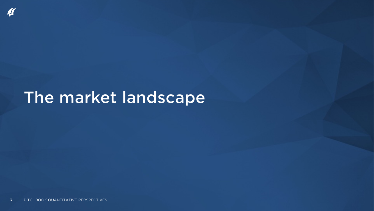## The market landscape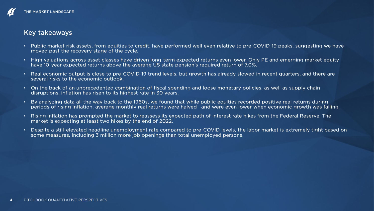## Key takeaways

- Public market risk assets, from equities to credit, have performed well even relative to pre-COVID-19 peaks, suggesting we have moved past the recovery stage of the cycle.
- High valuations across asset classes have driven long-term expected returns even lower. Only PE and emerging market equity have 10-year expected returns above the average US state pension's required return of 7.0%.
- Real economic output is close to pre-COVID-19 trend levels, but growth has already slowed in recent quarters, and there are several risks to the economic outlook.
- On the back of an unprecedented combination of fiscal spending and loose monetary policies, as well as supply chain disruptions, inflation has risen to its highest rate in 30 years.
- By analyzing data all the way back to the 1960s, we found that while public equities recorded positive real returns during periods of rising inflation, average monthly real returns were halved—and were even lower when economic growth was falling.
- Rising inflation has prompted the market to reassess its expected path of interest rate hikes from the Federal Reserve. The market is expecting at least two hikes by the end of 2022.
- Despite a still-elevated headline unemployment rate compared to pre-COVID levels, the labor market is extremely tight based on some measures, including 3 million more job openings than total unemployed persons.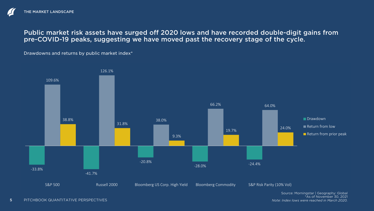Public market risk assets have surged off 2020 lows and have recorded double-digit gains from pre-COVID-19 peaks, suggesting we have moved past the recovery stage of the cycle.

Drawdowns and returns by public market index\*



\*As of November 30, 2021 *Note: Index lows were reached in March 2020.*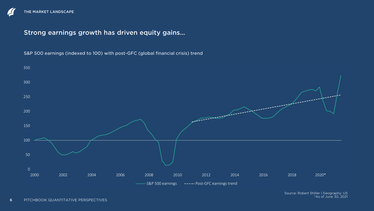## Strong earnings growth has driven equity gains…

S&P 500 earnings (indexed to 100) with post-GFC (global financial crisis) trend

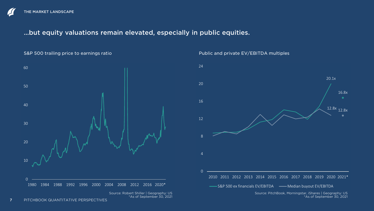## …but equity valuations remain elevated, especially in public equities.

S&P 500 trailing price to earnings ratio



Public and private EV/EBITDA multiples

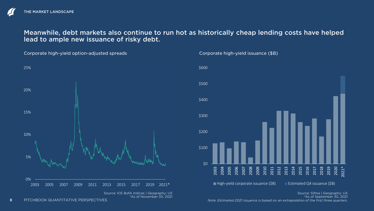Meanwhile, debt markets also continue to run hot as historically cheap lending costs have helped lead to ample new issuance of risky debt.

Corporate high-yield option-adjusted spreads



Source: ICE BofA Indices | Geography: US \*As of November 30, 2021



Corporate high-yield issuance (\$B)

Source: Sifma | Geography: US \*As of September 30, 2021 *Note: Estimated 2021 issuance is based on an extrapolation of the first three quarters.*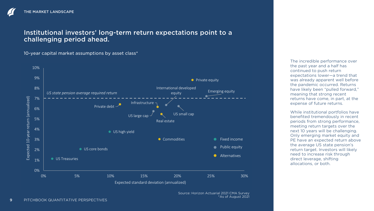## Institutional investors' long-term return expectations point to a challenging period ahead.

10-year capital market assumptions by asset class\*



Source: Horizon Actuarial 2021 CMA Survey \*As of August 2021

The incredible performance over the past year and a half has continued to push return expectations lower—a trend that was already apparent well before the pandemic occurred. Returns have likely been "pulled forward," meaning that strong recent returns have come, in part, at the expense of future returns.

While institutional portfolios have benefited tremendously in recent periods from strong performance, meeting return targets over the next 10 years will be challenging. Only emerging market equity and PE have an expected return above the average US state pension's return target. Investors will likely need to increase risk through direct leverage, shifting allocations, or both.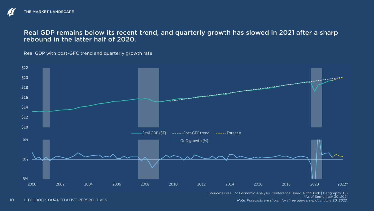### Real GDP remains below its recent trend, and quarterly growth has slowed in 2021 after a sharp rebound in the latter half of 2020.

Real GDP with post-GFC trend and quarterly growth rate



Source: Bureau of Economic Analysis, Conference Board, PitchBook | Geography: US \*As of September 30, 2021

*Note: Forecasts are shown for three quarters ending June 30, 2022.*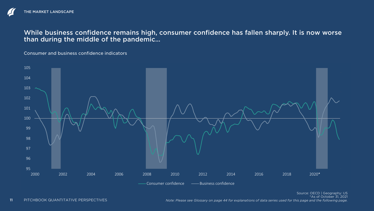While business confidence remains high, consumer confidence has fallen sharply. It is now worse than during the middle of the pandemic…

Consumer and business confidence indicators

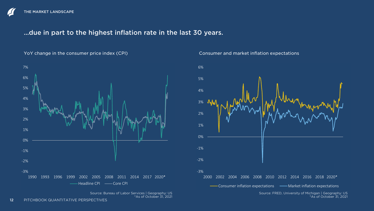## …due in part to the highest inflation rate in the last 30 years.



### YoY change in the consumer price index (CPI)

#### Consumer and market inflation expectations



Source: Bureau of Labor Services | Geography: US \*As of October 31, 2021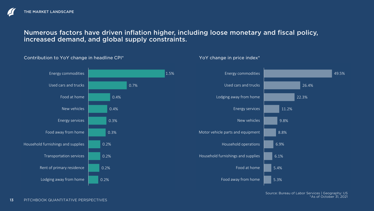## Numerous factors have driven inflation higher, including loose monetary and fiscal policy, increased demand, and global supply constraints.



Contribution to YoY change in headline CPI\*

### YoY change in price index\*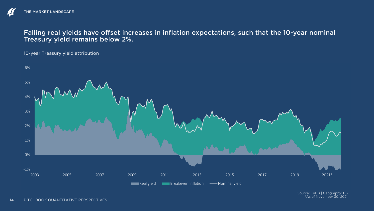## Falling real yields have offset increases in inflation expectations, such that the 10-year nominal Treasury yield remains below 2%.

10-year Treasury yield attribution

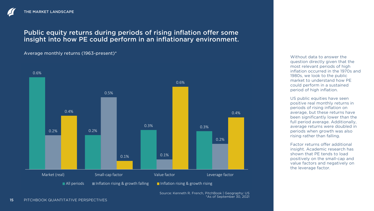## Public equity returns during periods of rising inflation offer some insight into how PE could perform in an inflationary environment.

Average monthly returns (1963-present)\*



Source: Kenneth R. French, PitchBook | Geography: US \*As of September 30, 2021

Without data to answer the question directly given that the most relevant periods of high inflation occurred in the 1970s and 1980s, we look to the public market to understand how PE could perform in a sustained period of high inflation.

US public equities have seen positive real monthly returns in periods of rising inflation on average, but these returns have been significantly lower than the full period average. Additionally, average returns were doubled in periods when growth was also rising rather than falling.

Factor returns offer additional insight. Academic research has shown that PE tends to load positively on the small-cap and value factors and negatively on the leverage factor.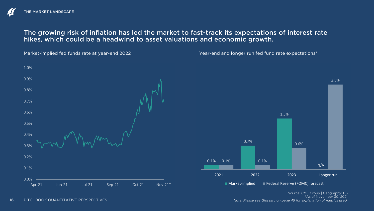## The growing risk of inflation has led the market to fast-track its expectations of interest rate hikes, which could be a headwind to asset valuations and economic growth.



Source: CME Group | Geography: US \*As of November 30, 2021 *Note: Please see Glossary on page 45 for explanation of metrics used.*



N/A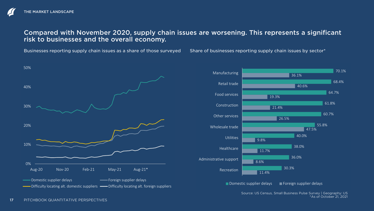## Compared with November 2020, supply chain issues are worsening. This represents a significant risk to businesses and the overall economy.

Businesses reporting supply chain issues as a share of those surveyed

Share of businesses reporting supply chain issues by sector\*





Source: US Census, Small Business Pulse Survey | Geography: US \*As of October 21, 2021

17 PITCHBOOK QUANTITATIVE PERSPECTIVES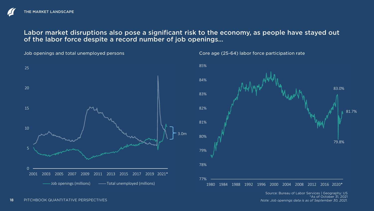## Labor market disruptions also pose a significant risk to the economy, as people have stayed out of the labor force despite a record number of job openings…

Job openings and total unemployed persons





Core age (25-64) labor force participation rate

1980 1984 1988 1992 1996 2000 2004 2008 2012 2016 2020\*

Source: Bureau of Labor Services | Geography: US \*As of October 31, 2021 *Note: Job openings data is as of September 30, 2021.*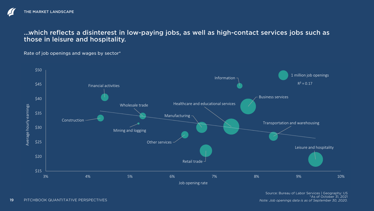## …which reflects a disinterest in low-paying jobs, as well as high-contact services jobs such as those in leisure and hospitality.

### Rate of job openings and wages by sector\*

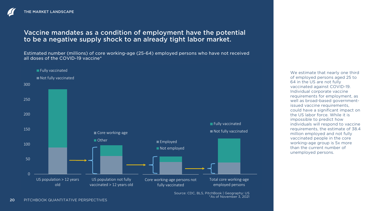## Vaccine mandates as a condition of employment have the potential to be a negative supply shock to an already tight labor market.

Estimated number (millions) of core working-age (25-64) employed persons who have not received all doses of the COVID-19 vaccine\*



Source: CDC, BLS, PitchBook | Geography: US \*As of November 3, 2021

We estimate that nearly one third of employed persons aged 25 to 64 in the US are not fully vaccinated against COVID-19. Individual corporate vaccine requirements for employment, as well as broad-based governmentissued vaccine requirements. could have a significant impact on the US labor force. While it is impossible to predict how individuals will respond to vaccine requirements, the estimate of 38.4 million employed and not fully vaccinated people in the core working-age group is 5x more than the current number of unemployed persons.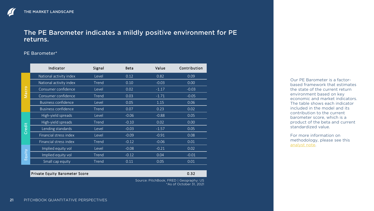### The PE Barometer indicates a mildly positive environment for PE returns.

### PE Barometer\*

|                    | Indicator                  | Signal | <b>Beta</b> | Value   | Contribution      |
|--------------------|----------------------------|--------|-------------|---------|-------------------|
|                    | National activity index    | Level  | 0.12        | 0.82    | 0.09              |
| cro                | National activity index    | Trend  | 0.10        | $-0.03$ | 0.00 <sub>1</sub> |
|                    | Consumer confidence        | Level  | 0.02        | $-1.17$ | $-0.03$           |
| $\bar{\mathbf{z}}$ | Consumer confidence        | Trend  | 0.03        | $-1.71$ | $-0.05$           |
|                    | <b>Business confidence</b> | Level  | 0.05        | 1.15    | 0.06              |
|                    | <b>Business confidence</b> | Trend  | 0.07        | 0.23    | 0.02              |
|                    | High-yield spreads         | Level  | $-0.06$     | $-0.88$ | 0.05              |
|                    | High-yield spreads         | Trend  | $-0.10$     | 0.02    | 0.00              |
| Credit             | Lending standards          | Level  | $-0.03$     | $-1.57$ | 0.05              |
|                    | Financial stress index     | Level  | $-0.09$     | $-0.91$ | 0.08              |
|                    | Financial stress index     | Trend  | $-0.12$     | $-0.06$ | 0.01              |
| quity<br>шī        | Implied equity vol         | Level  | $-0.08$     | $-0.21$ | 0.02              |
|                    | Implied equity vol         | Trend  | $-0.12$     | 0.04    | $-0.01$           |
|                    | Small cap equity           | Trend  | 0.11        | 0.05    | 0.01              |

#### Private Equity Barometer Score 0.32

Source: PitchBook, FRED | Geography: US \*As of October 31, 2021

Our PE Barometer is a factorbased framework that estimates the state of the current return environment based on key economic and market indicators. The table shows each indicator included in the model and its contribution to the current barometer score, which is a product of the beta and current standardized value.

For more information on methodology, please see this [analyst note](https://files.pitchbook.com/website/files/pdf/PitchBook_Q1_2021_Analyst_Note_Private_Equity_Barometer.pdf).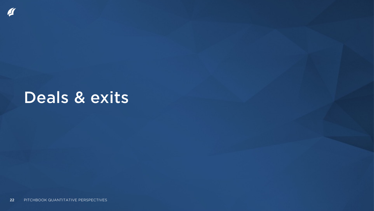## Deals & exits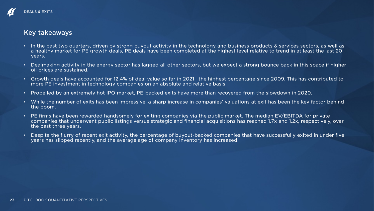### Key takeaways

- In the past two quarters, driven by strong buyout activity in the technology and business products & services sectors, as well as a healthy market for PE growth deals, PE deals have been completed at the highest level relative to trend in at least the last 20 years.
- Dealmaking activity in the energy sector has lagged all other sectors, but we expect a strong bounce back in this space if higher oil prices are sustained.
- Growth deals have accounted for 12.4% of deal value so far in 2021—the highest percentage since 2009. This has contributed to more PE investment in technology companies on an absolute and relative basis.
- Propelled by an extremely hot IPO market, PE-backed exits have more than recovered from the slowdown in 2020.
- While the number of exits has been impressive, a sharp increase in companies' valuations at exit has been the key factor behind the boom.
- PE firms have been rewarded handsomely for exiting companies via the public market. The median EV/EBITDA for private companies that underwent public listings versus strategic and financial acquisitions has reached 1.7x and 1.2x, respectively, over the past three years.
- Despite the flurry of recent exit activity, the percentage of buyout-backed companies that have successfully exited in under five years has slipped recently, and the average age of company inventory has increased.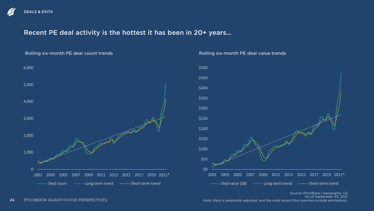## Recent PE deal activity is the hottest it has been in 20+ years…



#### Rolling six-month PE deal value trends



Source: PitchBook | Geography: US \*As of September 30, 2021 *Note: Data is seasonally adjusted, and the most recent four quarters include estimations.*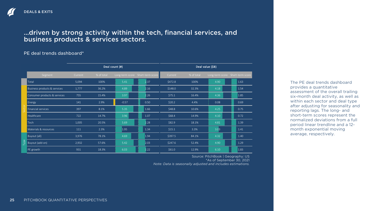## …driven by strong activity within the tech, financial services, and business products & services sectors.

### PE deal trends dashboard\*

|             |                              | Deal count (#) |            |         | Deal value (\$B)                 |         |              |      |                                  |
|-------------|------------------------------|----------------|------------|---------|----------------------------------|---------|--------------|------|----------------------------------|
|             | Segment                      | Current        | % of total |         | Long-term score Short-term score | Current | $%$ of total |      | Long-term score Short-term score |
|             | Total                        | 5,094          | 100%       | 5.41    | 2.37                             | \$472.8 | 100%         | 4.90 | 1.63                             |
|             | Business products & services | 1,777          | 36.2%      | 4.89    | 2.16                             | \$148.0 | 32.3%        | 4.18 | 1.54                             |
|             | Consumer products & services | 755            | 15.4%      | 3.97    | 2.26                             | \$75.1  | 16.4%        | 4.36 | 1.85                             |
|             | <b>Energy</b>                | 141            | 2.9%       | $-0.57$ | 0.50                             | \$20.2  | 4.4%         | 0.08 | 0.69                             |
|             | Financial services           | 397            | 8.1%       | 5.35    | 1.66                             | \$48.8  | 10.6%        | 4.25 | 0.75                             |
|             | Healthcare                   | 722            | 14.7%      | 3.96    | 1.07                             | \$68.4  | 14.9%        | 4.10 | 0.72                             |
|             | Tech                         | 1,005          | 20.5%      | 5.69    | 2.28                             | \$82.9  | 18.1%        | 4.81 | 1.39                             |
|             | Materials & resources        | 111            | 2.3%       | 1.95    | 1.34                             | \$15.1  | 3.3%         | 3.03 | 1.41                             |
|             | Buyout (all)                 | 3,976          | 78.1%      | 4.69    | 1.94                             | \$397.5 | 84.1%        | 4.32 | 1.40                             |
| <b>Type</b> | Buyout (add-on)              | 2,932          | 57.6%      | 5.42    | 2.03                             | \$247.6 | 52.4%        | 4.90 | 1.29                             |
|             | PE growth                    | 931            | 18.3%      | 6.03    | 2.22                             | \$61.0  | 12.9%        | 6.10 | 1.83                             |

Source: PitchBook | Geography: US \*As of September 30, 2021 *Note: Data is seasonally adjusted and includes estimations.* 

The PE deal trends dashboard provides a quantitative assessment of the overall trailing six-month deal activity, as well as within each sector and deal type after adjusting for seasonality and reporting lags. The long- and short-term scores represent the normalized deviations from a full period linear trendline and a 12 month exponential moving average, respectively.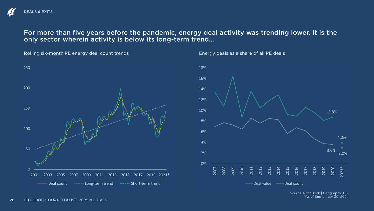For more than five years before the pandemic, energy deal activity was trending lower. It is the only sector wherein activity is below its long-term trend…

0 50 150 200 250 2001 2003 2005 2007 2009 2011 2013 2015 2017 2019 2021\* Deal count -----Long-term trend -----Short-term trend

Energy deals as a share of all PE deals



Source: PitchBook | Geography: US \*As of September 30, 2021

100

Rolling six-month PE energy deal count trends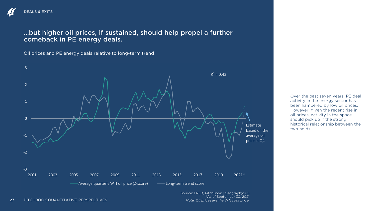## …but higher oil prices, if sustained, should help propel a further comeback in PE energy deals.

Oil prices and PE energy deals relative to long-term trend



Source: FRED, PitchBook | Geography: US \*As of September 30, 2021 *Note: Oil prices are the WTI spot price.*

Over the past seven years, PE deal activity in the energy sector has been hampered by low oil prices. However, given the recent rise in oil prices, activity in the space should pick up if the strong historical relationship between the two holds.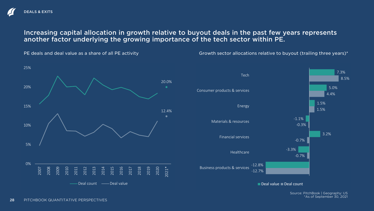## Increasing capital allocation in growth relative to buyout deals in the past few years represents another factor underlying the growing importance of the tech sector within PE.



Growth sector allocations relative to buyout (trailing three years)\*



Deal value Deal count

Source: PitchBook | Geography: US \*As of September 30, 2021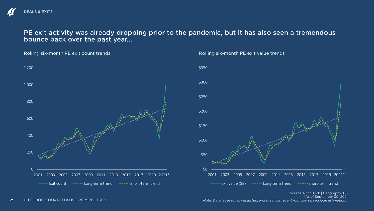PE exit activity was already dropping prior to the pandemic, but it has also seen a tremendous bounce back over the past year…

Rolling six-month PE exit count trends



#### Rolling six-month PE exit value trends



Source: PitchBook | Geography: US \*As of September 30, 2021 *Note: Data is seasonally adjusted, and the most recent four quarters include estimations.*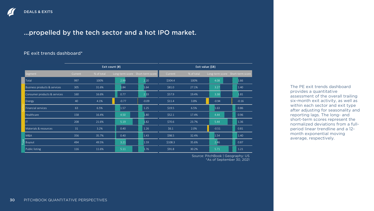## …propelled by the tech sector and a hot IPO market.

### PE exit trends dashboard\*

|     |                              | Exit count $(#)$ |            |                                  | Exit value (\$B) |          |            |                                  |         |
|-----|------------------------------|------------------|------------|----------------------------------|------------------|----------|------------|----------------------------------|---------|
|     | Segment                      | Current          | % of total | Long-term score Short-term score |                  | Current  | % of total | Long-term score Short-term score |         |
|     | Total                        | 997              | 100%       | 2.99                             | 2.20             | \$304.4  | 100%       | 4.08                             | 1.66    |
|     | Business products & services | 305              | 31.6%      | 1.84                             | 1.64             | \$81.0   | 27.1%      | 3.27                             | 1.40    |
|     | Consumer products & services | 160              | 16.6%      | 0.77                             | 2.33             | \$57.9   | 19.4%      | 3.38                             | 1.81    |
|     | Energy                       | 40               | 4.1%       | $-0.77$                          | $-0.09$          | \$11.4   | 3.8%       | $-0.94$                          | $-0.16$ |
|     | Financial services           | 63               | 6.5%       | 1.57                             | 1.25             | \$19.5   | 6.5%       | 1.63                             | 0.86    |
|     | Healthcare                   | 158              | 16.4%      | 4.50                             | 1.80             | \$52.1   | 17.4%      | 4.44                             | 0.96    |
|     | IT                           | 208              | 21.6%      | 5.19                             | 1.82             | \$70.6\$ | 23.7%      | 5.44                             | 1.36    |
|     | Materials & resources        | 31               | 3.2%       | 0.40                             | 1.26             | \$6.1    | 2.0%       | $-0.51$                          | 0.81    |
|     | <b>M&amp;A</b>               | 356              | 35.7%      | 0.40                             | 1.43             | \$98.5   | 32.4%      | 1.54                             | 1.40    |
| ype | Buyout                       | 494              | 49.5%      | 3.21                             | 1.59             | \$108.3  | 35.6%      | 2.46                             | 0.87    |
|     | Public listing               | 116              | 11.6%      | 5.11                             | 1.76             | \$91.8   | 30.2%      | 5.71                             | 1.21    |

Source: PitchBook | Geography: US \*As of September 30, 2021 The PE exit trends dashboard provides a quantitative assessment of the overall trailing six-month exit activity, as well as within each sector and exit type after adjusting for seasonality and reporting lags. The long- and short-term scores represent the normalized deviations from a fullperiod linear trendline and a 12 month exponential moving average, respectively.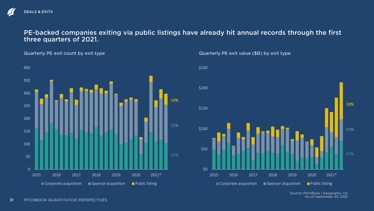PE-backed companies exiting via public listings have already hit annual records through the first three quarters of 2021.

Quarterly PE exit count by exit type



Quarterly PE exit value (\$B) by exit type



Source: PitchBook | Geography: US \*As of September 30, 2021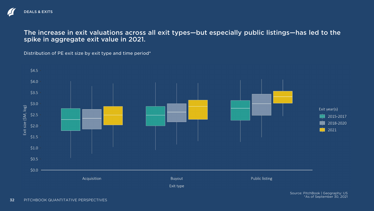The increase in exit valuations across all exit types—but especially public listings—has led to the spike in aggregate exit value in 2021.

Distribution of PE exit size by exit type and time period\*

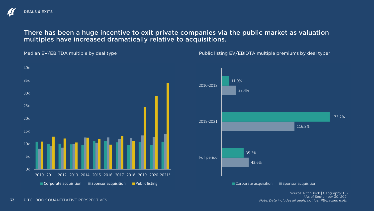## There has been a huge incentive to exit private companies via the public market as valuation multiples have increased dramatically relative to acquisitions.



Median EV/EBITDA multiple by deal type

Public listing EV/EBIDTA multiple premiums by deal type\*

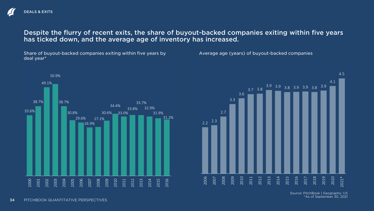## Despite the flurry of recent exits, the share of buyout-backed companies exiting within five years has ticked down, and the average age of inventory has increased.

Share of buyout-backed companies exiting within five years by deal year\*

Average age (years) of buyout-backed companies



3.6  $3.7$  3.8 3.9 3.9 3.8 3.9 3.9 3.8 3.9 4.1 2010 2011 2012 2013 2014 2015 2016 2017 2018 2019 2020 2021\*

> Source: PitchBook | Geography: US \*As of September 30, 2021

4.5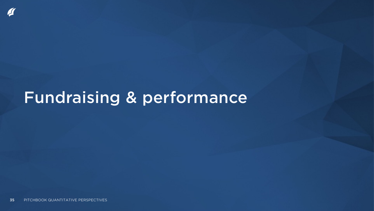## Fundraising & performance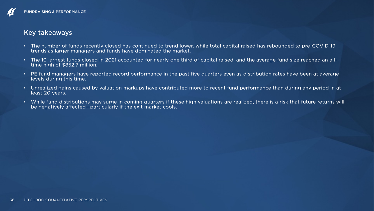## Key takeaways

- The number of funds recently closed has continued to trend lower, while total capital raised has rebounded to pre-COVID-19 trends as larger managers and funds have dominated the market.
- The 10 largest funds closed in 2021 accounted for nearly one third of capital raised, and the average fund size reached an alltime high of \$852.7 million.
- PE fund managers have reported record performance in the past five quarters even as distribution rates have been at average levels during this time.
- Unrealized gains caused by valuation markups have contributed more to recent fund performance than during any period in at least 20 years.
- While fund distributions may surge in coming quarters if these high valuations are realized, there is a risk that future returns will be negatively affected—particularly if the exit market cools.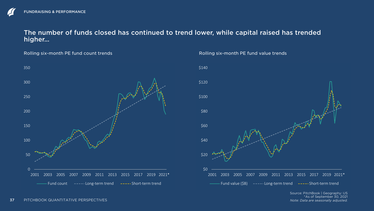## The number of funds closed has continued to trend lower, while capital raised has trended higher…

Rolling six-month PE fund count trends



#### Rolling six-month PE fund value trends



Source: PitchBook | Geography: US \*As of September 30, 2021 *Note: Data are seasonally adjusted.*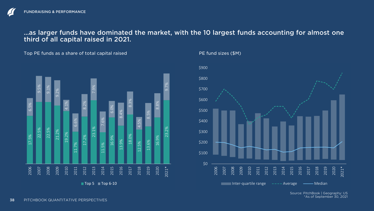## …as larger funds have dominated the market, with the 10 largest funds accounting for almost one third of all capital raised in 2021.

Top PE funds as a share of total capital raised





PE fund sizes (\$M)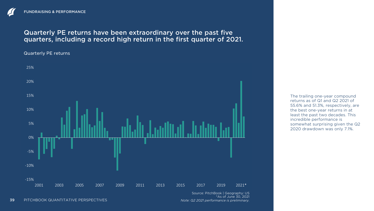## Quarterly PE returns have been extraordinary over the past five quarters, including a record high return in the first quarter of 2021.

Quarterly PE returns



The trailing one-year compound returns as of Q1 and Q2 2021 of 55.6% and 51.3%, respectively, are the best one-year returns in at least the past two decades. This incredible performance is somewhat surprising given the Q2 2020 drawdown was only 7.1%.

39 PITCHBOOK QUANTITATIVE PERSPECTIVES

\*As of June 30, 2021 *Note: Q2 2021 performance is preliminary.*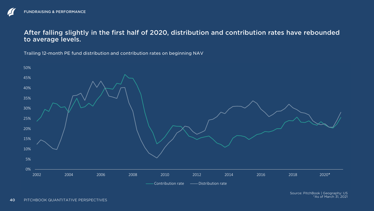## After falling slightly in the first half of 2020, distribution and contribution rates have rebounded to average levels.

Trailing 12-month PE fund distribution and contribution rates on beginning NAV

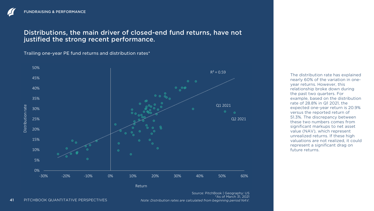## Distributions, the main driver of closed-end fund returns, have not justified the strong recent performance.

Trailing one-year PE fund returns and distribution rates\*



The distribution rate has explained nearly 60% of the variation in oneyear returns. However, this relationship broke down during the past two quarters. For example, based on the distribution rate of 28.8% in Q1 2021, the expected one-year return is 20.9% versus the reported return of 51.3%. The discrepancy between these two numbers comes from significant markups to net asset value (NAV), which represent unrealized returns. If these high valuations are not realized, it could represent a significant drag on future returns.

\*As of March 31, 2021 *Note: Distribution rates are calculated from beginning period NAV.*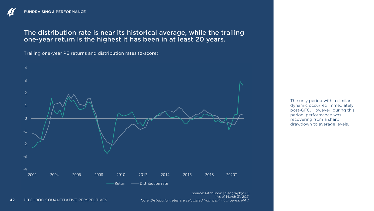The distribution rate is near its historical average, while the trailing one-year return is the highest it has been in at least 20 years.

Trailing one-year PE returns and distribution rates (z-score)



The only period with a similar dynamic occurred immediately post-GFC. However, during this period, performance was recovering from a sharp drawdown to average levels.

Source: PitchBook | Geography: US \*As of March 31, 2021 *Note: Distribution rates are calculated from beginning period NAV.*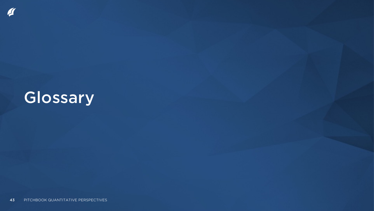## Glossary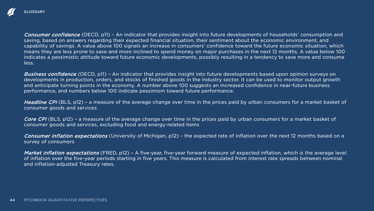

Consumer confidence (OECD, p11) - An indicator that provides insight into future developments of households' consumption and saving, based on answers regarding their expected financial situation, their sentiment about the economic environment, and capability of savings. A value above 100 signals an increase in consumers' confidence toward the future economic situation, which means they are less prone to save and more inclined to spend money on major purchases in the next 12 months. A value below 100 indicates a pessimistic attitude toward future economic developments, possibly resulting in a tendency to save more and consume less.

Business confidence (OECD, p11) - An indicator that provides insight into future developments based upon opinion surveys on developments in production, orders, and stocks of finished goods in the industry sector. It can be used to monitor output growth and anticipate turning points in the economy. A number above 100 suggests an increased confidence in near-future business performance, and numbers below 100 indicate pessimism toward future performance.

Headline CPI (BLS, p12) – a measure of the average change over time in the prices paid by urban consumers for a market basket of consumer goods and services

Core CPI (BLS, p12) – a measure of the average change over time in the prices paid by urban consumers for a market basket of consumer goods and services, excluding food and energy-related items

Consumer inflation expectations (University of Michigan, p12) - the expected rate of inflation over the next 12 months based on a survey of consumers

Market inflation expectations (FRED, p12) - A five-year, five-year forward measure of expected inflation, which is the average level of inflation over the five-year periods starting in five years. This measure is calculated from interest rate spreads between nominal and inflation-adjusted Treasury rates.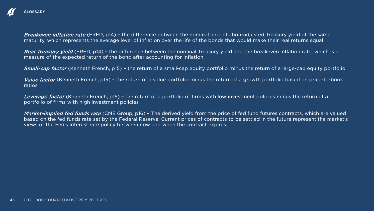

Breakeven inflation rate (FRED, p14) - the difference between the nominal and inflation-adjusted Treasury yield of the same maturity, which represents the average level of inflation over the life of the bonds that would make their real returns equal

Real Treasury yield (FRED, p14) - the difference between the nominal Treasury yield and the breakeven inflation rate, which is a measure of the expected return of the bond after accounting for inflation

Small-cap factor (Kenneth French, p15) – the return of a small-cap equity portfolio minus the return of a large-cap equity portfolio

Value factor (Kenneth French, p15) – the return of a value portfolio minus the return of a growth portfolio based on price-to-book ratios

Leverage factor (Kenneth French, p15) – the return of a portfolio of firms with low investment policies minus the return of a portfolio of firms with high investment policies

Market-implied fed funds rate (CME Group, p16) - The derived yield from the price of fed fund futures contracts, which are valued based on the fed funds rate set by the Federal Reserve. Current prices of contracts to be settled in the future represent the market's views of the Fed's interest rate policy between now and when the contract expires.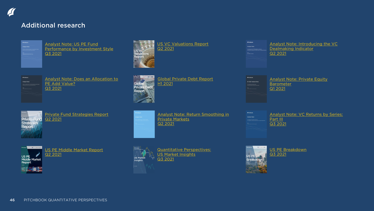## Additional research

| <b>C</b> PitchRook  |                                                      |                                            |
|---------------------|------------------------------------------------------|--------------------------------------------|
| <b>Analyst Note</b> |                                                      |                                            |
|                     | <b>Ceterning whether specialist funds outperform</b> | US PE Fund Performance by Investment Style |
|                     |                                                      |                                            |
|                     | ula Famuhmagh, Saniar Analyst 75 Twent Lear          |                                            |
|                     |                                                      |                                            |
|                     |                                                      |                                            |
|                     |                                                      |                                            |
|                     |                                                      |                                            |

Analyst Note: US PE Fund [Performance by Investment Style](https://files.pitchbook.com/website/files/pdf/PB_Analyst_Note_US_PE_Fund_Performance_by_Investment_Style.pdf#page=1) [Q3 2021](https://files.pitchbook.com/website/files/pdf/PB_Analyst_Note_US_PE_Fund_Performance_by_Investment_Style.pdf#page=1)

[Analyst Note: Does an Allocation to](https://files.pitchbook.com/website/files/pdf/PitchBook_Analyst_Note_Does_an_Allocation_to_PE_Add_Value.pdf#page=1) PE Add Value? [Q3 2021](https://files.pitchbook.com/website/files/pdf/PitchBook_Analyst_Note_Does_an_Allocation_to_PE_Add_Value.pdf#page=1)



[Private Fund Strategies Report](https://files.pitchbook.com/website/files/pdf/PitchBook_Q2_2021_Private_Fund_Strategies_Report.pdf) [Q2 2021](https://files.pitchbook.com/website/files/pdf/PitchBook_Q2_2021_Private_Fund_Strategies_Report.pdf)



[US PE Middle Market Report](https://files.pitchbook.com/website/files/pdf/PitchBook_Q2_2021_US_PE_Middle_Market_Report.pdf) [Q2 2021](https://files.pitchbook.com/website/files/pdf/PitchBook_Q2_2021_US_PE_Middle_Market_Report.pdf)





[Global Private Debt Report](https://files.pitchbook.com/website/files/pdf/PitchBook_H1_2021_Global_Private_Debt_Report.pdf) [H1 2021](https://files.pitchbook.com/website/files/pdf/PitchBook_H1_2021_Global_Private_Debt_Report.pdf)

[Analyst Note: Return Smoothing in](https://files.pitchbook.com/website/files/pdf/PitchBook_Analyst_Note_Return_Smoothing_in_Private_Markets.pdf#page=1)  Private Markets [Q2 2021](https://files.pitchbook.com/website/files/pdf/PitchBook_Analyst_Note_Return_Smoothing_in_Private_Markets.pdf#page=1)



[Quantitative Perspectives:](https://files.pitchbook.com/website/files/pdf/PitchBook_Q3_2021_Quantitative_Perspectives_US_Market_Insights.pdf#page=1)  [US Market Insights](https://files.pitchbook.com/website/files/pdf/PitchBook_Q3_2021_Quantitative_Perspectives_US_Market_Insights.pdf#page=1) [Q3 2021](https://files.pitchbook.com/website/files/pdf/PitchBook_Q3_2021_Quantitative_Perspectives_US_Market_Insights.pdf#page=1)





[Analyst Note: Private Equity](https://files.pitchbook.com/website/files/pdf/PitchBook_Q1_2021_Analyst_Note_Private_Equity_Barometer.pdf)  **Barometer** [Q1 2021](https://files.pitchbook.com/website/files/pdf/PitchBook_Q1_2021_Analyst_Note_Private_Equity_Barometer.pdf)

| <b>FPitchRook</b>                                                                                          | <b>Analyst Note: VC</b> |
|------------------------------------------------------------------------------------------------------------|-------------------------|
| Analyst Note                                                                                               |                         |
| <b>C Returns by Series: Part III</b><br>Investigation of deal-level performance on a capital-weighborously | Part III                |
| automorphone (VA have been only                                                                            | Q3 2021                 |
|                                                                                                            |                         |

Returns by Series:



[US PE Breakdown](https://files.pitchbook.com/website/files/pdf/PitchBook_Q3_2021_US_PE_Breakdown.pdf#page=1) [Q3 2021](https://files.pitchbook.com/website/files/pdf/PitchBook_Q3_2021_US_PE_Breakdown.pdf#page=1)